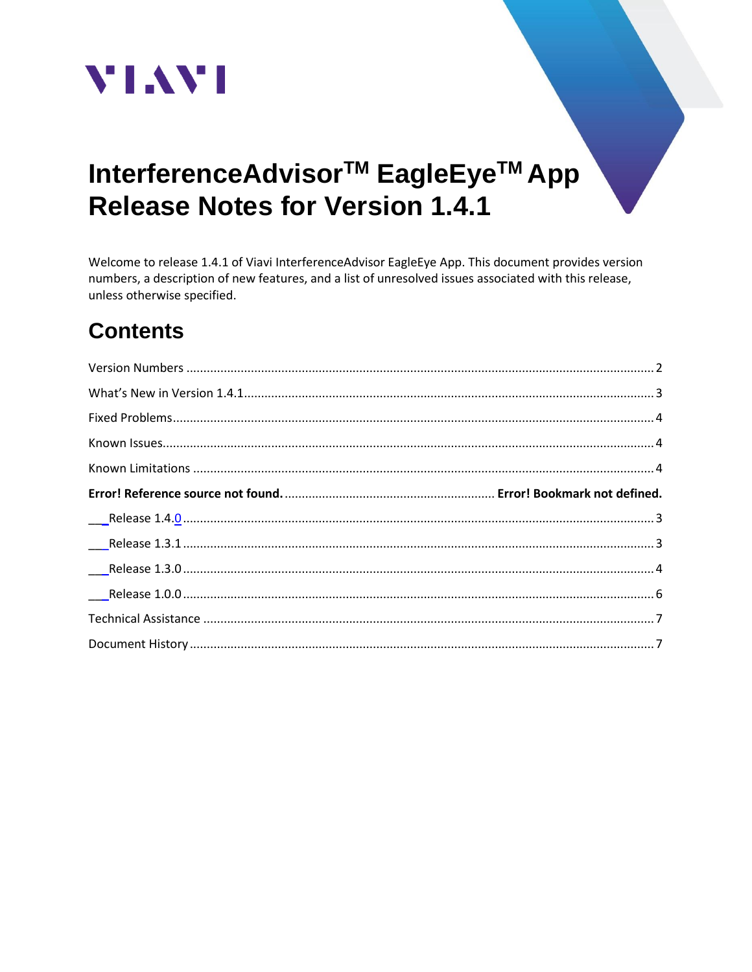

# InterferenceAdvisor<sup>™</sup> EagleEye<sup>™</sup> App **Release Notes for Version 1.4.1**

Welcome to release 1.4.1 of Viavi InterferenceAdvisor EagleEye App. This document provides version numbers, a description of new features, and a list of unresolved issues associated with this release, unless otherwise specified.

## **Contents**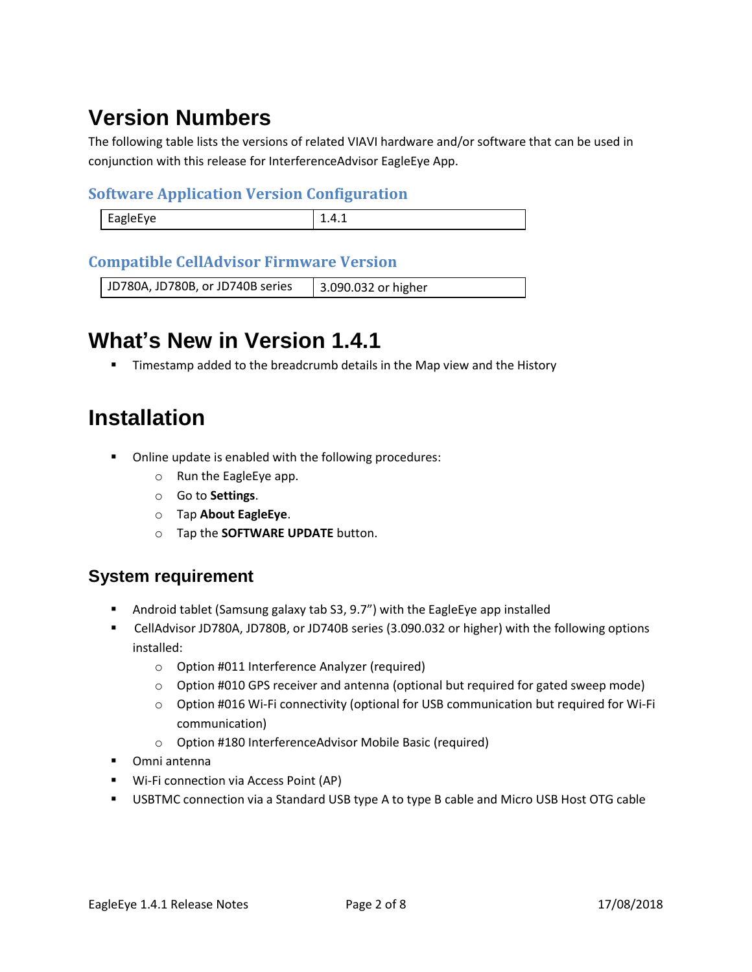## <span id="page-1-0"></span>**Version Numbers**

The following table lists the versions of related VIAVI hardware and/or software that can be used in conjunction with this release for InterferenceAdvisor EagleEye App.

#### **Software Application Version Configuration**

| <b>EAGLAFVA</b><br>$-27$ | ---- |
|--------------------------|------|
|                          |      |

#### **Compatible CellAdvisor Firmware Version**

JD780A, JD780B, or JD740B series | 3.090.032 or higher

## **What's New in Version 1.4.1**

**E** Timestamp added to the breadcrumb details in the Map view and the History

## **Installation**

- Online update is enabled with the following procedures:
	- o Run the EagleEye app.
	- o Go to **Settings**.
	- o Tap **About EagleEye**.
	- o Tap the **SOFTWARE UPDATE** button.

#### **System requirement**

- Android tablet (Samsung galaxy tab S3, 9.7") with the EagleEye app installed
- CellAdvisor JD780A, JD780B, or JD740B series (3.090.032 or higher) with the following options installed:
	- o Option #011 Interference Analyzer (required)
	- $\circ$  Option #010 GPS receiver and antenna (optional but required for gated sweep mode)
	- o Option #016 Wi-Fi connectivity (optional for USB communication but required for Wi-Fi communication)
	- o Option #180 InterferenceAdvisor Mobile Basic (required)
- Omni antenna
- Wi-Fi connection via Access Point (AP)
- USBTMC connection via a Standard USB type A to type B cable and Micro USB Host OTG cable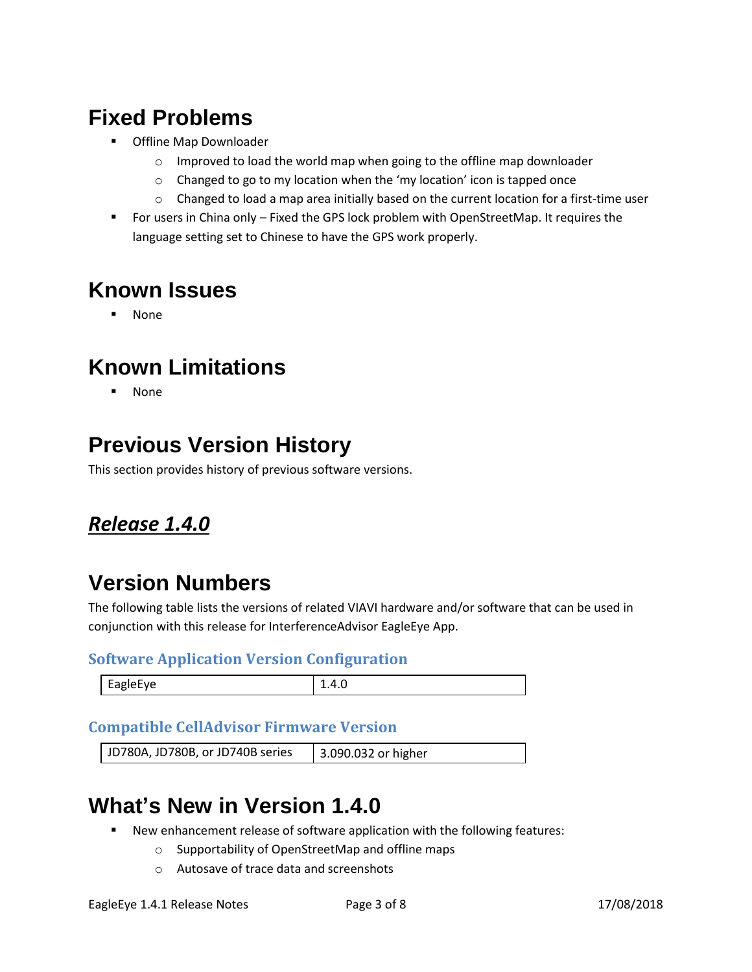- Offline Map Downloader
	- o Improved to load the world map when going to the offline map downloader
	- o Changed to go to my location when the 'my location' icon is tapped once
	- $\circ$  Changed to load a map area initially based on the current location for a first-time user
- For users in China only Fixed the GPS lock problem with OpenStreetMap. It requires the language setting set to Chinese to have the GPS work properly.

## **Known Issues**

**None** 

## **Known Limitations**

**None** 

## **Previous Version History**

This section provides history of previous software versions.

#### *Release 1.4.0*

### **Version Numbers**

The following table lists the versions of related VIAVI hardware and/or software that can be used in conjunction with this release for InterferenceAdvisor EagleEye App.

#### **Software Application Version Configuration**

| <b>EagleFye</b> | л |
|-----------------|---|
|                 |   |

#### **Compatible CellAdvisor Firmware Version**

<span id="page-2-0"></span>JD780A, JD780B, or JD740B series | 3.090.032 or higher

### **What's New in Version 1.4.0**

- New enhancement release of software application with the following features:
	- o Supportability of OpenStreetMap and offline maps
	- o Autosave of trace data and screenshots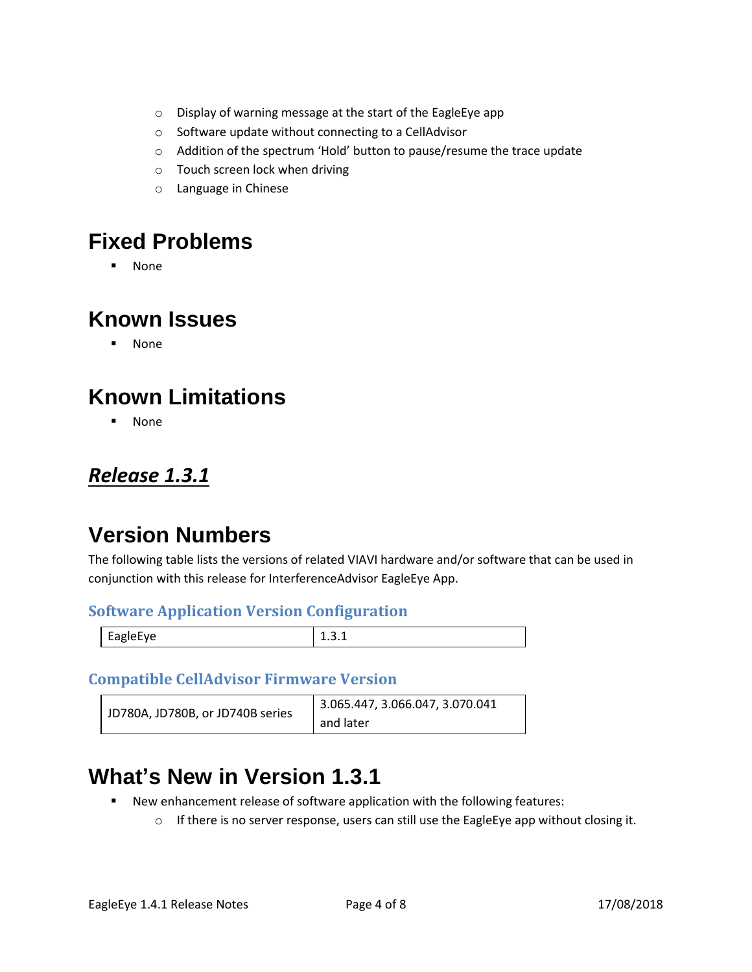- o Display of warning message at the start of the EagleEye app
- o Software update without connecting to a CellAdvisor
- o Addition of the spectrum 'Hold' button to pause/resume the trace update
- o Touch screen lock when driving
- o Language in Chinese

<span id="page-3-0"></span>▪ None

#### <span id="page-3-1"></span>**Known Issues**

▪ None

## <span id="page-3-2"></span>**Known Limitations**

▪ None

#### <span id="page-3-3"></span>*Release 1.3.1*

### **Version Numbers**

The following table lists the versions of related VIAVI hardware and/or software that can be used in conjunction with this release for InterferenceAdvisor EagleEye App.

#### **Software Application Version Configuration**

|--|

#### **Compatible CellAdvisor Firmware Version**

| JD780A, JD780B, or JD740B series | 3.065.447, 3.066.047, 3.070.041 |
|----------------------------------|---------------------------------|
|                                  | and later                       |

## **What's New in Version 1.3.1**

- New enhancement release of software application with the following features:
	- $\circ$  If there is no server response, users can still use the EagleEye app without closing it.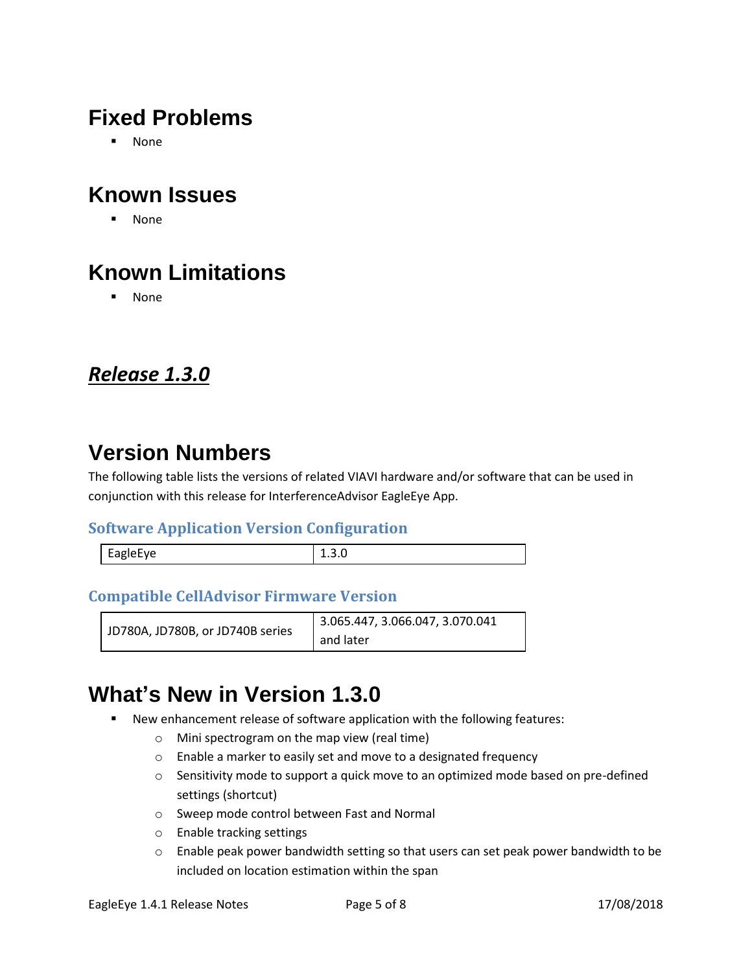▪ None

## **Known Issues**

▪ None

## **Known Limitations**

▪ None

#### <span id="page-4-0"></span>*Release 1.3.0*

### **Version Numbers**

The following table lists the versions of related VIAVI hardware and/or software that can be used in conjunction with this release for InterferenceAdvisor EagleEye App.

#### **Software Application Version Configuration**

| EagleEye |  |
|----------|--|
|          |  |

#### **Compatible CellAdvisor Firmware Version**

|                                  | 3.065.447, 3.066.047, 3.070.041 |
|----------------------------------|---------------------------------|
| JD780A, JD780B, or JD740B series | and later                       |

### **What's New in Version 1.3.0**

- New enhancement release of software application with the following features:
	- o Mini spectrogram on the map view (real time)
	- o Enable a marker to easily set and move to a designated frequency
	- o Sensitivity mode to support a quick move to an optimized mode based on pre-defined settings (shortcut)
	- o Sweep mode control between Fast and Normal
	- o Enable tracking settings
	- $\circ$  Enable peak power bandwidth setting so that users can set peak power bandwidth to be included on location estimation within the span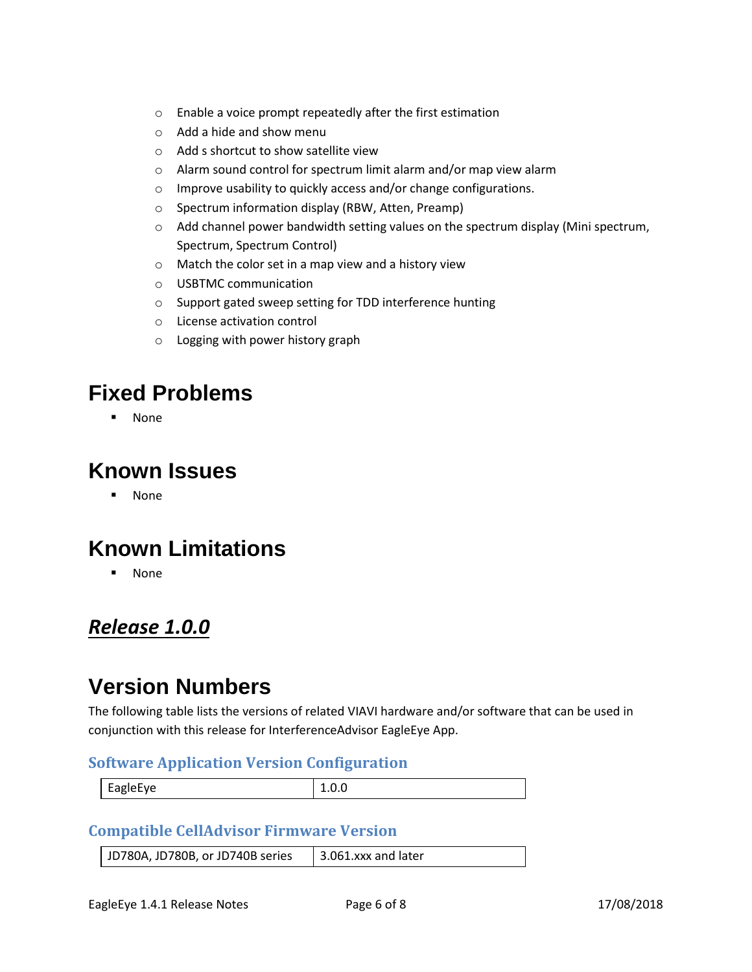- o Enable a voice prompt repeatedly after the first estimation
- o Add a hide and show menu
- o Add s shortcut to show satellite view
- o Alarm sound control for spectrum limit alarm and/or map view alarm
- o Improve usability to quickly access and/or change configurations.
- o Spectrum information display (RBW, Atten, Preamp)
- $\circ$  Add channel power bandwidth setting values on the spectrum display (Mini spectrum, Spectrum, Spectrum Control)
- o Match the color set in a map view and a history view
- o USBTMC communication
- o Support gated sweep setting for TDD interference hunting
- o License activation control
- o Logging with power history graph

**None** 

#### **Known Issues**

▪ None

### **Known Limitations**

▪ None

#### <span id="page-5-0"></span>*Release 1.0.0*

### **Version Numbers**

The following table lists the versions of related VIAVI hardware and/or software that can be used in conjunction with this release for InterferenceAdvisor EagleEye App.

#### **Software Application Version Configuration**

| $\sim$ $\sim$<br><b>EagleFve</b><br>$\cdot$<br>$\overline{\phantom{0}}$<br>$-90 - 1$ |  |
|--------------------------------------------------------------------------------------|--|
|                                                                                      |  |

#### **Compatible CellAdvisor Firmware Version**

JD780A, JD780B, or JD740B series  $\parallel$  3.061.xxx and later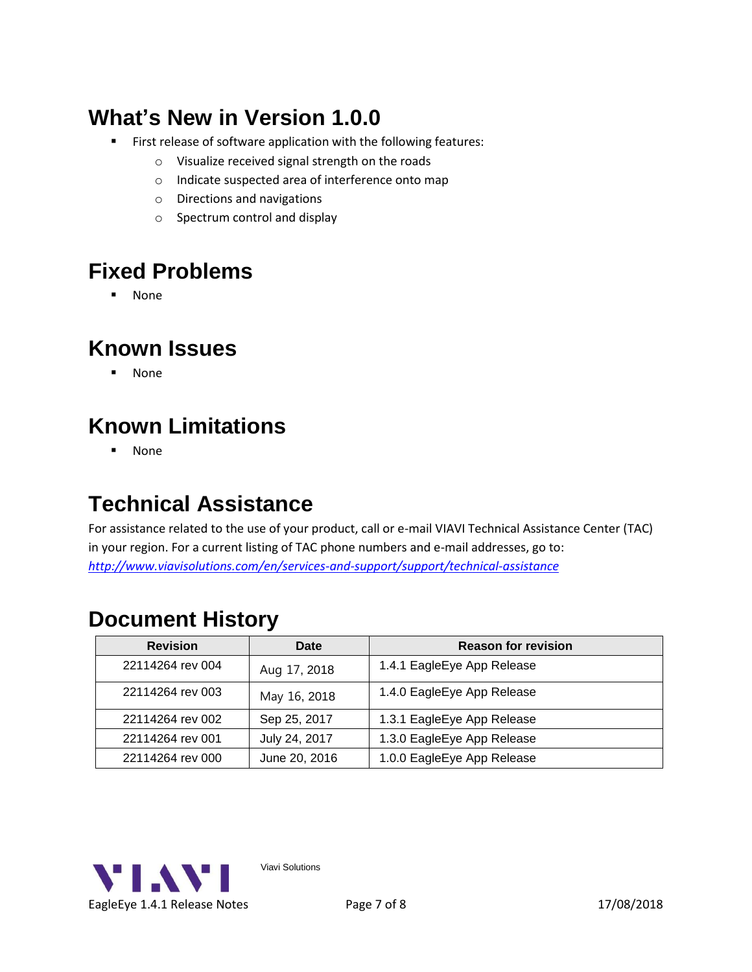## **What's New in Version 1.0.0**

- **EXECT:** First release of software application with the following features:
	- o Visualize received signal strength on the roads
	- o Indicate suspected area of interference onto map
	- o Directions and navigations
	- o Spectrum control and display

## **Fixed Problems**

▪ None

### **Known Issues**

▪ None

## **Known Limitations**

▪ None

### <span id="page-6-0"></span>**Technical Assistance**

For assistance related to the use of your product, call or e-mail VIAVI Technical Assistance Center (TAC) in your region. For a current listing of TAC phone numbers and e-mail addresses, go to: *<http://www.viavisolutions.com/en/services-and-support/support/technical-assistance>*

### <span id="page-6-1"></span>**Document History**

| <b>Revision</b>  | Date          | <b>Reason for revision</b> |
|------------------|---------------|----------------------------|
| 22114264 rev 004 | Aug 17, 2018  | 1.4.1 EagleEye App Release |
| 22114264 rev 003 | May 16, 2018  | 1.4.0 EagleEye App Release |
| 22114264 rev 002 | Sep 25, 2017  | 1.3.1 EagleEye App Release |
| 22114264 rev 001 | July 24, 2017 | 1.3.0 EagleEye App Release |
| 22114264 rev 000 | June 20, 2016 | 1.0.0 EagleEye App Release |